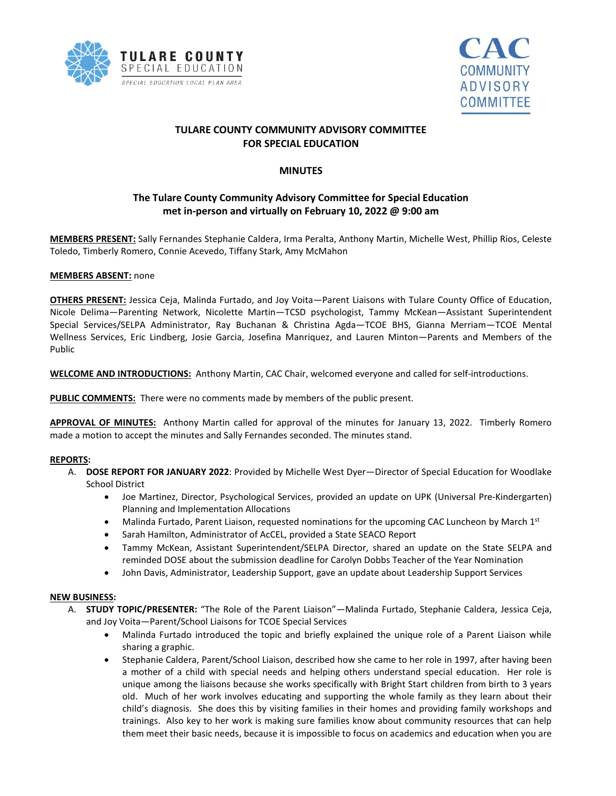



# **TULARE COUNTY COMMUNITY ADVISORY COMMITTEE FOR SPECIAL EDUCATION**

## **MINUTES**

# **The Tulare County Community Advisory Committee for Special Education met in-person and virtually on February 10, 2022 @ 9:00 am**

**MEMBERS PRESENT:** Sally Fernandes Stephanie Caldera, Irma Peralta, Anthony Martin, Michelle West, Phillip Rios, Celeste Toledo, Timberly Romero, Connie Acevedo, Tiffany Stark, Amy McMahon

#### **MEMBERS ABSENT:** none

**OTHERS PRESENT:** Jessica Ceja, Malinda Furtado, and Joy Voita—Parent Liaisons with Tulare County Office of Education, Nicole Delima—Parenting Network, Nicolette Martin—TCSD psychologist, Tammy McKean—Assistant Superintendent Special Services/SELPA Administrator, Ray Buchanan & Christina Agda—TCOE BHS, Gianna Merriam—TCOE Mental Wellness Services, Eric Lindberg, Josie Garcia, Josefina Manriquez, and Lauren Minton—Parents and Members of the Public

**WELCOME AND INTRODUCTIONS:** Anthony Martin, CAC Chair, welcomed everyone and called for self-introductions.

**PUBLIC COMMENTS:** There were no comments made by members of the public present.

**APPROVAL OF MINUTES:** Anthony Martin called for approval of the minutes for January 13, 2022. Timberly Romero made a motion to accept the minutes and Sally Fernandes seconded. The minutes stand.

### **REPORTS:**

- A. **DOSE REPORT FOR JANUARY 2022**: Provided by Michelle West Dyer—Director of Special Education for Woodlake School District
	- Joe Martinez, Director, Psychological Services, provided an update on UPK (Universal Pre-Kindergarten) Planning and Implementation Allocations
	- Malinda Furtado, Parent Liaison, requested nominations for the upcoming CAC Luncheon by March  $1<sup>st</sup>$
	- Sarah Hamilton, Administrator of AcCEL, provided a State SEACO Report
	- Tammy McKean, Assistant Superintendent/SELPA Director, shared an update on the State SELPA and reminded DOSE about the submission deadline for Carolyn Dobbs Teacher of the Year Nomination
	- John Davis, Administrator, Leadership Support, gave an update about Leadership Support Services

#### **NEW BUSINESS:**

- A. **STUDY TOPIC/PRESENTER:** "The Role of the Parent Liaison"—Malinda Furtado, Stephanie Caldera, Jessica Ceja, and Joy Voita—Parent/School Liaisons for TCOE Special Services
	- Malinda Furtado introduced the topic and briefly explained the unique role of a Parent Liaison while sharing a graphic.
	- Stephanie Caldera, Parent/School Liaison, described how she came to her role in 1997, after having been a mother of a child with special needs and helping others understand special education. Her role is unique among the liaisons because she works specifically with Bright Start children from birth to 3 years old. Much of her work involves educating and supporting the whole family as they learn about their child's diagnosis. She does this by visiting families in their homes and providing family workshops and trainings. Also key to her work is making sure families know about community resources that can help them meet their basic needs, because it is impossible to focus on academics and education when you are